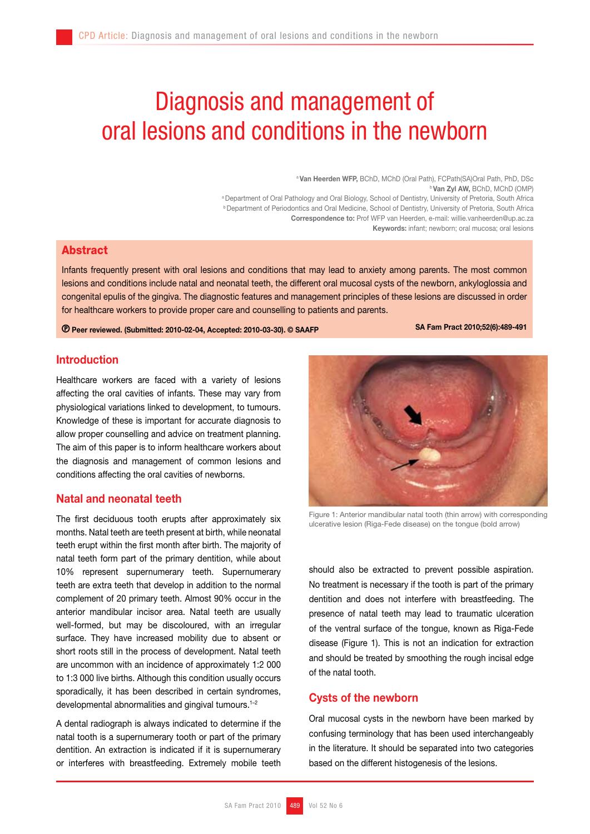# Diagnosis and management of oral lesions and conditions in the newborn

a Van Heerden WFP, BChD, MChD (Oral Path), FCPath(SA)Oral Path, PhD, DSc **bVan Zyl AW, BChD, MChD (OMP)** a Department of Oral Pathology and Oral Biology, School of Dentistry, University of Pretoria, South Africa b Department of Periodontics and Oral Medicine, School of Dentistry, University of Pretoria, South Africa Correspondence to: Prof WFP van Heerden, e-mail: willie.vanheerden@up.ac.za Keywords: infant; newborn; oral mucosa; oral lesions

# Abstract

Infants frequently present with oral lesions and conditions that may lead to anxiety among parents. The most common lesions and conditions include natal and neonatal teeth, the different oral mucosal cysts of the newborn, ankyloglossia and congenital epulis of the gingiva. The diagnostic features and management principles of these lesions are discussed in order for healthcare workers to provide proper care and counselling to patients and parents.

Peer reviewed. (Submitted: 2010-02-04, Accepted: 2010-03-30). © SAAFP SA Fam Pract 2010;52(6):489-491

## Introduction

Healthcare workers are faced with a variety of lesions affecting the oral cavities of infants. These may vary from physiological variations linked to development, to tumours. Knowledge of these is important for accurate diagnosis to allow proper counselling and advice on treatment planning. The aim of this paper is to inform healthcare workers about the diagnosis and management of common lesions and conditions affecting the oral cavities of newborns.

# Natal and neonatal teeth

The first deciduous tooth erupts after approximately six months. Natal teeth are teeth present at birth, while neonatal teeth erupt within the first month after birth. The majority of natal teeth form part of the primary dentition, while about 10% represent supernumerary teeth. Supernumerary teeth are extra teeth that develop in addition to the normal complement of 20 primary teeth. Almost 90% occur in the anterior mandibular incisor area. Natal teeth are usually well-formed, but may be discoloured, with an irregular surface. They have increased mobility due to absent or short roots still in the process of development. Natal teeth are uncommon with an incidence of approximately 1:2 000 to 1:3 000 live births. Although this condition usually occurs sporadically, it has been described in certain syndromes, developmental abnormalities and gingival tumours.<sup>1-2</sup>

A dental radiograph is always indicated to determine if the natal tooth is a supernumerary tooth or part of the primary dentition. An extraction is indicated if it is supernumerary or interferes with breastfeeding. Extremely mobile teeth



Figure 1: Anterior mandibular natal tooth (thin arrow) with corresponding ulcerative lesion (Riga-Fede disease) on the tongue (bold arrow)

should also be extracted to prevent possible aspiration. No treatment is necessary if the tooth is part of the primary dentition and does not interfere with breastfeeding. The presence of natal teeth may lead to traumatic ulceration of the ventral surface of the tongue, known as Riga-Fede disease (Figure 1). This is not an indication for extraction and should be treated by smoothing the rough incisal edge of the natal tooth.

## Cysts of the newborn

Oral mucosal cysts in the newborn have been marked by confusing terminology that has been used interchangeably in the literature. It should be separated into two categories based on the different histogenesis of the lesions.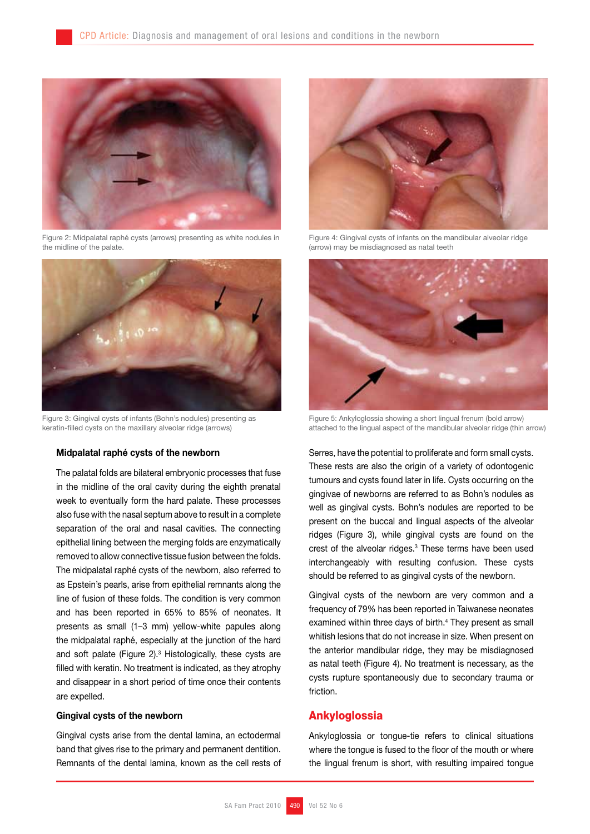

Figure 2: Midpalatal raphé cysts (arrows) presenting as white nodules in the midline of the palate.



Figure 3: Gingival cysts of infants (Bohn's nodules) presenting as keratin-filled cysts on the maxillary alveolar ridge (arrows)

### Midpalatal raphé cysts of the newborn

The palatal folds are bilateral embryonic processes that fuse in the midline of the oral cavity during the eighth prenatal week to eventually form the hard palate. These processes also fuse with the nasal septum above to result in a complete separation of the oral and nasal cavities. The connecting epithelial lining between the merging folds are enzymatically removed to allow connective tissue fusion between the folds. The midpalatal raphé cysts of the newborn, also referred to as Epstein's pearls, arise from epithelial remnants along the line of fusion of these folds. The condition is very common and has been reported in 65% to 85% of neonates. It presents as small (1–3 mm) yellow-white papules along the midpalatal raphé, especially at the junction of the hard and soft palate (Figure 2). $3$  Histologically, these cysts are filled with keratin. No treatment is indicated, as they atrophy and disappear in a short period of time once their contents are expelled.

#### Gingival cysts of the newborn

Gingival cysts arise from the dental lamina, an ectodermal band that gives rise to the primary and permanent dentition. Remnants of the dental lamina, known as the cell rests of



Figure 4: Gingival cysts of infants on the mandibular alveolar ridge (arrow) may be misdiagnosed as natal teeth



Figure 5: Ankyloglossia showing a short lingual frenum (bold arrow) attached to the lingual aspect of the mandibular alveolar ridge (thin arrow)

Serres, have the potential to proliferate and form small cysts. These rests are also the origin of a variety of odontogenic tumours and cysts found later in life. Cysts occurring on the gingivae of newborns are referred to as Bohn's nodules as well as gingival cysts. Bohn's nodules are reported to be present on the buccal and lingual aspects of the alveolar ridges (Figure 3), while gingival cysts are found on the crest of the alveolar ridges.3 These terms have been used interchangeably with resulting confusion. These cysts should be referred to as gingival cysts of the newborn.

Gingival cysts of the newborn are very common and a frequency of 79% has been reported in Taiwanese neonates examined within three days of birth.<sup>4</sup> They present as small whitish lesions that do not increase in size. When present on the anterior mandibular ridge, they may be misdiagnosed as natal teeth (Figure 4). No treatment is necessary, as the cysts rupture spontaneously due to secondary trauma or friction.

## **Ankyloglossia**

Ankyloglossia or tongue-tie refers to clinical situations where the tongue is fused to the floor of the mouth or where the lingual frenum is short, with resulting impaired tongue